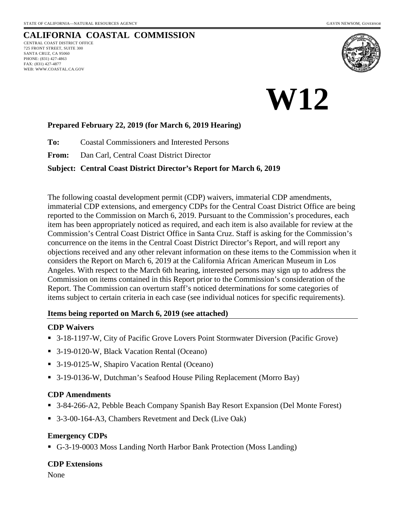### **CALIFORNIA COASTAL COMMISSION** CENTRAL COAST DISTRICT OFFICE 725 FRONT STREET, SUITE 300 SANTA CRUZ, CA 95060 PHONE: (831) 427-4863 FAX: (831) 427-4877 WEB: WWW.COASTAL.CA.GOV



# **W12**

### **Prepared February 22, 2019 (for March 6, 2019 Hearing)**

**To:** Coastal Commissioners and Interested Persons

**From:** Dan Carl, Central Coast District Director

### **Subject: Central Coast District Director's Report for March 6, 2019**

The following coastal development permit (CDP) waivers, immaterial CDP amendments, immaterial CDP extensions, and emergency CDPs for the Central Coast District Office are being reported to the Commission on March 6, 2019. Pursuant to the Commission's procedures, each item has been appropriately noticed as required, and each item is also available for review at the Commission's Central Coast District Office in Santa Cruz. Staff is asking for the Commission's concurrence on the items in the Central Coast District Director's Report, and will report any objections received and any other relevant information on these items to the Commission when it considers the Report on March 6, 2019 at the California African American Museum in Los Angeles. With respect to the March 6th hearing, interested persons may sign up to address the Commission on items contained in this Report prior to the Commission's consideration of the Report. The Commission can overturn staff's noticed determinations for some categories of items subject to certain criteria in each case (see individual notices for specific requirements).

### **Items being reported on March 6, 2019 (see attached)**

### **CDP Waivers**

- 3-18-1197-W, City of Pacific Grove Lovers Point Stormwater Diversion (Pacific Grove)
- 3-19-0120-W, Black Vacation Rental (Oceano)
- 3-19-0125-W, Shapiro Vacation Rental (Oceano)
- 3-19-0136-W, Dutchman's Seafood House Piling Replacement (Morro Bay)

### **CDP Amendments**

- 3-84-266-A2, Pebble Beach Company Spanish Bay Resort Expansion (Del Monte Forest)
- 3-3-00-164-A3, Chambers Revetment and Deck (Live Oak)

### **Emergency CDPs**

G-3-19-0003 Moss Landing North Harbor Bank Protection (Moss Landing)

### **CDP Extensions**

None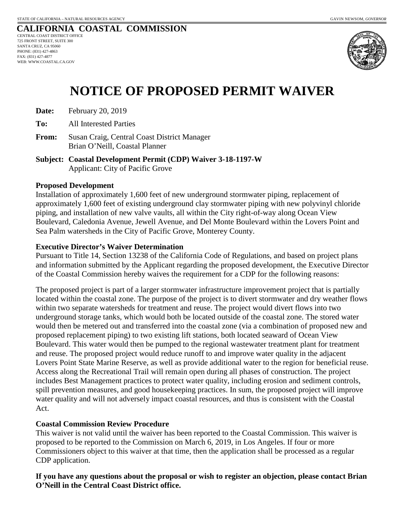#### **CALIFORNIA COASTAL COMMISSION** CENTRAL COAST DISTRICT OFFICE 725 FRONT STREET, SUITE 300 SANTA CRUZ, CA 95060 PHONE: (831) 427-4863 FAX: (831) 427-4877 WEB: WWW.COASTAL.CA.GOV



# **NOTICE OF PROPOSED PERMIT WAIVER**

| Date: | February 20, 2019 |
|-------|-------------------|
|-------|-------------------|

**To:** All Interested Parties

- **From:** Susan Craig, Central Coast District Manager Brian O'Neill, Coastal Planner
- **Subject: Coastal Development Permit (CDP) Waiver 3-18-1197-W**  Applicant: City of Pacific Grove

### **Proposed Development**

Installation of approximately 1,600 feet of new underground stormwater piping, replacement of approximately 1,600 feet of existing underground clay stormwater piping with new polyvinyl chloride piping, and installation of new valve vaults, all within the City right-of-way along Ocean View Boulevard, Caledonia Avenue, Jewell Avenue, and Del Monte Boulevard within the Lovers Point and Sea Palm watersheds in the City of Pacific Grove, Monterey County.

### **Executive Director's Waiver Determination**

Pursuant to Title 14, Section 13238 of the California Code of Regulations, and based on project plans and information submitted by the Applicant regarding the proposed development, the Executive Director of the Coastal Commission hereby waives the requirement for a CDP for the following reasons:

The proposed project is part of a larger stormwater infrastructure improvement project that is partially located within the coastal zone. The purpose of the project is to divert stormwater and dry weather flows within two separate watersheds for treatment and reuse. The project would divert flows into two underground storage tanks, which would both be located outside of the coastal zone. The stored water would then be metered out and transferred into the coastal zone (via a combination of proposed new and proposed replacement piping) to two existing lift stations, both located seaward of Ocean View Boulevard. This water would then be pumped to the regional wastewater treatment plant for treatment and reuse. The proposed project would reduce runoff to and improve water quality in the adjacent Lovers Point State Marine Reserve, as well as provide additional water to the region for beneficial reuse. Access along the Recreational Trail will remain open during all phases of construction. The project includes Best Management practices to protect water quality, including erosion and sediment controls, spill prevention measures, and good housekeeping practices. In sum, the proposed project will improve water quality and will not adversely impact coastal resources, and thus is consistent with the Coastal Act.

### **Coastal Commission Review Procedure**

This waiver is not valid until the waiver has been reported to the Coastal Commission. This waiver is proposed to be reported to the Commission on March 6, 2019, in Los Angeles. If four or more Commissioners object to this waiver at that time, then the application shall be processed as a regular CDP application.

**If you have any questions about the proposal or wish to register an objection, please contact Brian O'Neill in the Central Coast District office.**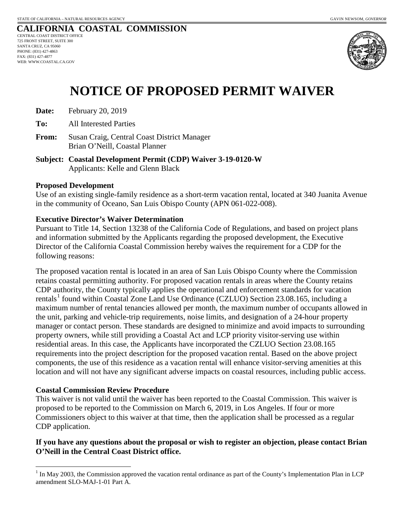#### **CALIFORNIA COASTAL COMMISSION** CENTRAL COAST DISTRICT OFFICE 725 FRONT STREET, SUITE 300 SANTA CRUZ, CA 95060 PHONE: (831) 427-4863 FAX: (831) 427-4877 WEB: WWW.COASTAL.CA.GOV



# **NOTICE OF PROPOSED PERMIT WAIVER**

| Date: | February 20, 2019 |
|-------|-------------------|
|-------|-------------------|

**To:** All Interested Parties

- **From:** Susan Craig, Central Coast District Manager Brian O'Neill, Coastal Planner
- **Subject: Coastal Development Permit (CDP) Waiver 3-19-0120-W**  Applicants: Kelle and Glenn Black

### **Proposed Development**

Use of an existing single-family residence as a short-term vacation rental, located at 340 Juanita Avenue in the community of Oceano, San Luis Obispo County (APN 061-022-008).

### **Executive Director's Waiver Determination**

Pursuant to Title 14, Section 13238 of the California Code of Regulations, and based on project plans and information submitted by the Applicants regarding the proposed development, the Executive Director of the California Coastal Commission hereby waives the requirement for a CDP for the following reasons:

The proposed vacation rental is located in an area of San Luis Obispo County where the Commission retains coastal permitting authority. For proposed vacation rentals in areas where the County retains CDP authority, the County typically applies the operational and enforcement standards for vacation rentals<sup>[1](#page-2-0)</sup> found within Coastal Zone Land Use Ordinance (CZLUO) Section 23.08.165, including a maximum number of rental tenancies allowed per month, the maximum number of occupants allowed in the unit, parking and vehicle-trip requirements, noise limits, and designation of a 24-hour property manager or contact person. These standards are designed to minimize and avoid impacts to surrounding property owners, while still providing a Coastal Act and LCP priority visitor-serving use within residential areas. In this case, the Applicants have incorporated the CZLUO Section 23.08.165 requirements into the project description for the proposed vacation rental. Based on the above project components, the use of this residence as a vacation rental will enhance visitor-serving amenities at this location and will not have any significant adverse impacts on coastal resources, including public access.

### **Coastal Commission Review Procedure**

This waiver is not valid until the waiver has been reported to the Coastal Commission. This waiver is proposed to be reported to the Commission on March 6, 2019, in Los Angeles. If four or more Commissioners object to this waiver at that time, then the application shall be processed as a regular CDP application.

### **If you have any questions about the proposal or wish to register an objection, please contact Brian O'Neill in the Central Coast District office.**

<span id="page-2-0"></span> $\overline{a}$ In May 2003, the Commission approved the vacation rental ordinance as part of the County's Implementation Plan in LCP amendment SLO-MAJ-1-01 Part A.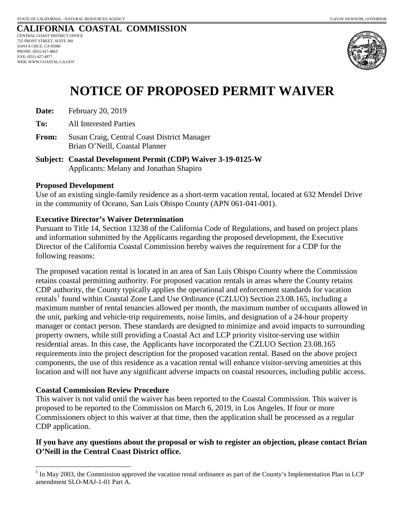#### **CALIFORNIA COASTAL COMMISSION** CENTRAL COAST DISTRICT OFFICE 725 FRONT STREET, SUITE 300 SANTA CRUZ, CA 95060 PHONE: (831) 427-4863 FAX: (831) 427-4877 WEB: WWW.COASTAL.CA.GOV



# **NOTICE OF PROPOSED PERMIT WAIVER**

| Date: | February 20, 2019 |
|-------|-------------------|
|-------|-------------------|

**To:** All Interested Parties

- **From:** Susan Craig, Central Coast District Manager Brian O'Neill, Coastal Planner
- **Subject: Coastal Development Permit (CDP) Waiver 3-19-0125-W**  Applicants: Melany and Jonathan Shapiro

### **Proposed Development**

Use of an existing single-family residence as a short-term vacation rental, located at 632 Mendel Drive in the community of Oceano, San Luis Obispo County (APN 061-041-001).

### **Executive Director's Waiver Determination**

Pursuant to Title 14, Section 13238 of the California Code of Regulations, and based on project plans and information submitted by the Applicants regarding the proposed development, the Executive Director of the California Coastal Commission hereby waives the requirement for a CDP for the following reasons:

The proposed vacation rental is located in an area of San Luis Obispo County where the Commission retains coastal permitting authority. For proposed vacation rentals in areas where the County retains CDP authority, the County typically applies the operational and enforcement standards for vacation rentals<sup>[1](#page-3-0)</sup> found within Coastal Zone Land Use Ordinance (CZLUO) Section 23.08.165, including a maximum number of rental tenancies allowed per month, the maximum number of occupants allowed in the unit, parking and vehicle-trip requirements, noise limits, and designation of a 24-hour property manager or contact person. These standards are designed to minimize and avoid impacts to surrounding property owners, while still providing a Coastal Act and LCP priority visitor-serving use within residential areas. In this case, the Applicants have incorporated the CZLUO Section 23.08.165 requirements into the project description for the proposed vacation rental. Based on the above project components, the use of this residence as a vacation rental will enhance visitor-serving amenities at this location and will not have any significant adverse impacts on coastal resources, including public access.

### **Coastal Commission Review Procedure**

This waiver is not valid until the waiver has been reported to the Coastal Commission. This waiver is proposed to be reported to the Commission on March 6, 2019, in Los Angeles. If four or more Commissioners object to this waiver at that time, then the application shall be processed as a regular CDP application.

### **If you have any questions about the proposal or wish to register an objection, please contact Brian O'Neill in the Central Coast District office.**

<span id="page-3-0"></span> $\overline{a}$ In May 2003, the Commission approved the vacation rental ordinance as part of the County's Implementation Plan in LCP amendment SLO-MAJ-1-01 Part A.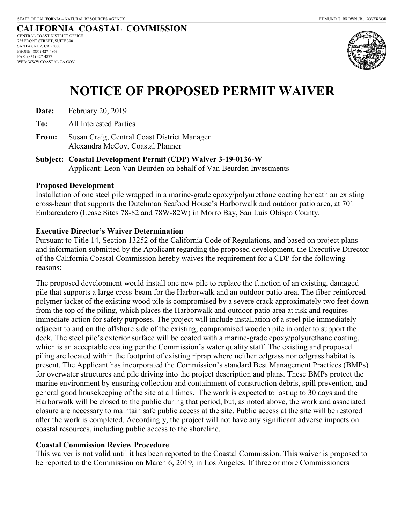#### **CALIFORNIA COASTAL COMMISSION** CENTRAL COAST DISTRICT OFFICE 725 FRONT STREET, SUITE 300 SANTA CRUZ, CA 95060 PHONE: (831) 427-4863 FAX: (831) 427-4877 WEB: WWW.COASTAL.CA.GOV



# **NOTICE OF PROPOSED PERMIT WAIVER**

**Date:** February 20, 2019

**To:** All Interested Parties

- **From:** Susan Craig, Central Coast District Manager Alexandra McCoy, Coastal Planner
- **Subject: Coastal Development Permit (CDP) Waiver 3-19-0136-W**  Applicant: Leon Van Beurden on behalf of Van Beurden Investments

### **Proposed Development**

Installation of one steel pile wrapped in a marine-grade epoxy/polyurethane coating beneath an existing cross-beam that supports the Dutchman Seafood House's Harborwalk and outdoor patio area, at 701 Embarcadero (Lease Sites 78-82 and 78W-82W) in Morro Bay, San Luis Obispo County.

### **Executive Director's Waiver Determination**

Pursuant to Title 14, Section 13252 of the California Code of Regulations, and based on project plans and information submitted by the Applicant regarding the proposed development, the Executive Director of the California Coastal Commission hereby waives the requirement for a CDP for the following reasons:

The proposed development would install one new pile to replace the function of an existing, damaged pile that supports a large cross-beam for the Harborwalk and an outdoor patio area. The fiber-reinforced polymer jacket of the existing wood pile is compromised by a severe crack approximately two feet down from the top of the piling, which places the Harborwalk and outdoor patio area at risk and requires immediate action for safety purposes. The project will include installation of a steel pile immediately adjacent to and on the offshore side of the existing, compromised wooden pile in order to support the deck. The steel pile's exterior surface will be coated with a marine-grade epoxy/polyurethane coating, which is an acceptable coating per the Commission's water quality staff. The existing and proposed piling are located within the footprint of existing riprap where neither eelgrass nor eelgrass habitat is present. The Applicant has incorporated the Commission's standard Best Management Practices (BMPs) for overwater structures and pile driving into the project description and plans. These BMPs protect the marine environment by ensuring collection and containment of construction debris, spill prevention, and general good housekeeping of the site at all times. The work is expected to last up to 30 days and the Harborwalk will be closed to the public during that period, but, as noted above, the work and associated closure are necessary to maintain safe public access at the site. Public access at the site will be restored after the work is completed. Accordingly, the project will not have any significant adverse impacts on coastal resources, including public access to the shoreline.

### **Coastal Commission Review Procedure**

This waiver is not valid until it has been reported to the Coastal Commission. This waiver is proposed to be reported to the Commission on March 6, 2019, in Los Angeles. If three or more Commissioners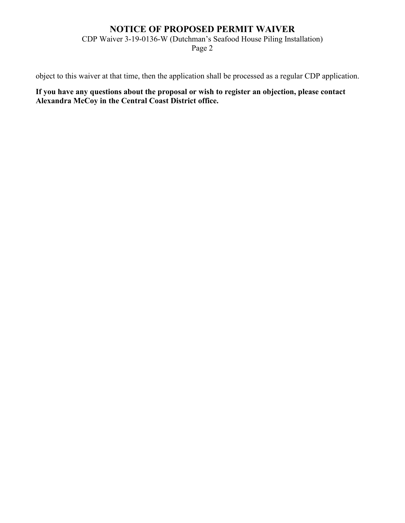### **NOTICE OF PROPOSED PERMIT WAIVER**

CDP Waiver 3-19-0136-W (Dutchman's Seafood House Piling Installation)

Page 2

object to this waiver at that time, then the application shall be processed as a regular CDP application.

**If you have any questions about the proposal or wish to register an objection, please contact Alexandra McCoy in the Central Coast District office.**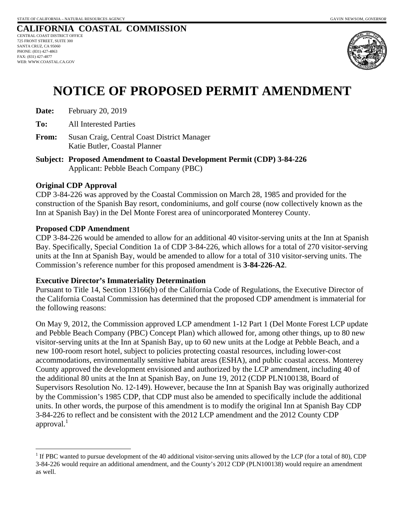#### **CALIFORNIA COASTAL COMMISSION** CENTRAL COAST DISTRICT OFFICE 725 FRONT STREET, SUITE 300 SANTA CRUZ, CA 95060 PHONE: (831) 427-4863 FAX: (831) 427-4877 WEB: WWW.COASTAL.CA.GOV



# **NOTICE OF PROPOSED PERMIT AMENDMENT**

- **Date:** February 20, 2019
- **To:** All Interested Parties
- **From:** Susan Craig, Central Coast District Manager Katie Butler, Coastal Planner
- **Subject: Proposed Amendment to Coastal Development Permit (CDP) 3-84-226**  Applicant: Pebble Beach Company (PBC)

### **Original CDP Approval**

CDP 3-84-226 was approved by the Coastal Commission on March 28, 1985 and provided for the construction of the Spanish Bay resort, condominiums, and golf course (now collectively known as the Inn at Spanish Bay) in the Del Monte Forest area of unincorporated Monterey County.

### **Proposed CDP Amendment**

-

CDP 3-84-226 would be amended to allow for an additional 40 visitor-serving units at the Inn at Spanish Bay. Specifically, Special Condition 1a of CDP 3-84-226, which allows for a total of 270 visitor-serving units at the Inn at Spanish Bay, would be amended to allow for a total of 310 visitor-serving units. The Commission's reference number for this proposed amendment is **3-84-226-A2**.

### **Executive Director's Immateriality Determination**

Pursuant to Title 14, Section 13166(b) of the California Code of Regulations, the Executive Director of the California Coastal Commission has determined that the proposed CDP amendment is immaterial for the following reasons:

On May 9, 2012, the Commission approved LCP amendment 1-12 Part 1 (Del Monte Forest LCP update and Pebble Beach Company (PBC) Concept Plan) which allowed for, among other things, up to 80 new visitor-serving units at the Inn at Spanish Bay, up to 60 new units at the Lodge at Pebble Beach, and a new 100-room resort hotel, subject to policies protecting coastal resources, including lower-cost accommodations, environmentally sensitive habitat areas (ESHA), and public coastal access. Monterey County approved the development envisioned and authorized by the LCP amendment, including 40 of the additional 80 units at the Inn at Spanish Bay, on June 19, 2012 (CDP PLN100138, Board of Supervisors Resolution No. 12-149). However, because the Inn at Spanish Bay was originally authorized by the Commission's 1985 CDP, that CDP must also be amended to specifically include the additional units. In other words, the purpose of this amendment is to modify the original Inn at Spanish Bay CDP 3-84-226 to reflect and be consistent with the 2012 LCP amendment and the 2012 County CDP approval. $<sup>1</sup>$ </sup>

 $1$  If PBC wanted to pursue development of the 40 additional visitor-serving units allowed by the LCP (for a total of 80), CDP 3-84-226 would require an additional amendment, and the County's 2012 CDP (PLN100138) would require an amendment as well.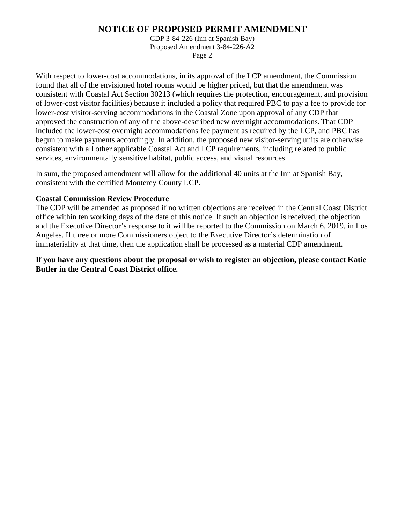### **NOTICE OF PROPOSED PERMIT AMENDMENT**

CDP 3-84-226 (Inn at Spanish Bay) Proposed Amendment 3-84-226-A2 Page 2

With respect to lower-cost accommodations, in its approval of the LCP amendment, the Commission found that all of the envisioned hotel rooms would be higher priced, but that the amendment was consistent with Coastal Act Section 30213 (which requires the protection, encouragement, and provision of lower-cost visitor facilities) because it included a policy that required PBC to pay a fee to provide for lower-cost visitor-serving accommodations in the Coastal Zone upon approval of any CDP that approved the construction of any of the above-described new overnight accommodations. That CDP included the lower-cost overnight accommodations fee payment as required by the LCP, and PBC has begun to make payments accordingly. In addition, the proposed new visitor-serving units are otherwise consistent with all other applicable Coastal Act and LCP requirements, including related to public services, environmentally sensitive habitat, public access, and visual resources.

In sum, the proposed amendment will allow for the additional 40 units at the Inn at Spanish Bay, consistent with the certified Monterey County LCP.

### **Coastal Commission Review Procedure**

The CDP will be amended as proposed if no written objections are received in the Central Coast District office within ten working days of the date of this notice. If such an objection is received, the objection and the Executive Director's response to it will be reported to the Commission on March 6, 2019, in Los Angeles. If three or more Commissioners object to the Executive Director's determination of immateriality at that time, then the application shall be processed as a material CDP amendment.

**If you have any questions about the proposal or wish to register an objection, please contact Katie Butler in the Central Coast District office.**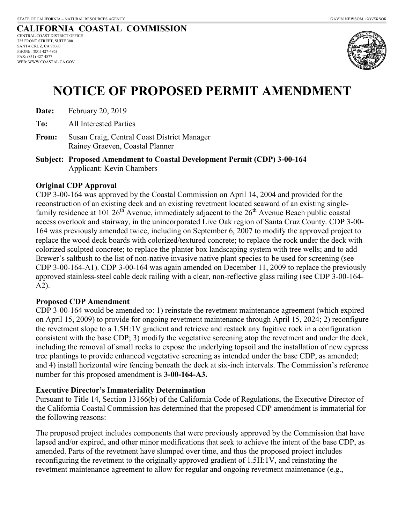#### **CALIFORNIA COASTAL COMMISSION** CENTRAL COAST DISTRICT OFFICE 725 FRONT STREET, SUITE 300 SANTA CRUZ, CA 95060 PHONE: (831) 427-4863 FAX: (831) 427-4877 WEB: WWW.COASTAL.CA.GOV



# **NOTICE OF PROPOSED PERMIT AMENDMENT**

- **Date:** February 20, 2019
- **To:** All Interested Parties
- **From:** Susan Craig, Central Coast District Manager Rainey Graeven, Coastal Planner
- **Subject: Proposed Amendment to Coastal Development Permit (CDP) 3-00-164**  Applicant: Kevin Chambers

### **Original CDP Approval**

CDP 3-00-164 was approved by the Coastal Commission on April 14, 2004 and provided for the reconstruction of an existing deck and an existing revetment located seaward of an existing singlefamily residence at 101  $26<sup>th</sup>$  Avenue, immediately adjacent to the  $26<sup>th</sup>$  Avenue Beach public coastal access overlook and stairway, in the unincorporated Live Oak region of Santa Cruz County. CDP 3-00- 164 was previously amended twice, including on September 6, 2007 to modify the approved project to replace the wood deck boards with colorized/textured concrete; to replace the rock under the deck with colorized sculpted concrete; to replace the planter box landscaping system with tree wells; and to add Brewer's saltbush to the list of non-native invasive native plant species to be used for screening (see CDP 3-00-164-A1). CDP 3-00-164 was again amended on December 11, 2009 to replace the previously approved stainless-steel cable deck railing with a clear, non-reflective glass railing (see CDP 3-00-164- A2).

### **Proposed CDP Amendment**

CDP 3-00-164 would be amended to: 1) reinstate the revetment maintenance agreement (which expired on April 15, 2009) to provide for ongoing revetment maintenance through April 15, 2024; 2) reconfigure the revetment slope to a 1.5H:1V gradient and retrieve and restack any fugitive rock in a configuration consistent with the base CDP; 3) modify the vegetative screening atop the revetment and under the deck, including the removal of small rocks to expose the underlying topsoil and the installation of new cypress tree plantings to provide enhanced vegetative screening as intended under the base CDP, as amended; and 4) install horizontal wire fencing beneath the deck at six-inch intervals. The Commission's reference number for this proposed amendment is **3-00-164-A3.**

### **Executive Director's Immateriality Determination**

Pursuant to Title 14, Section 13166(b) of the California Code of Regulations, the Executive Director of the California Coastal Commission has determined that the proposed CDP amendment is immaterial for the following reasons:

The proposed project includes components that were previously approved by the Commission that have lapsed and/or expired, and other minor modifications that seek to achieve the intent of the base CDP, as amended. Parts of the revetment have slumped over time, and thus the proposed project includes reconfiguring the revetment to the originally approved gradient of 1.5H:1V, and reinstating the revetment maintenance agreement to allow for regular and ongoing revetment maintenance (e.g.,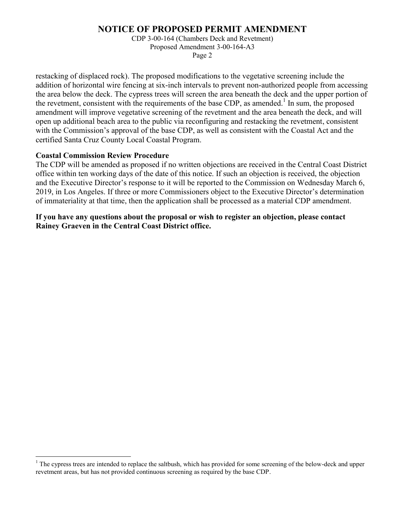### **NOTICE OF PROPOSED PERMIT AMENDMENT**

CDP 3-00-164 (Chambers Deck and Revetment) Proposed Amendment 3-00-164-A3 Page 2

restacking of displaced rock). The proposed modifications to the vegetative screening include the addition of horizontal wire fencing at six-inch intervals to prevent non-authorized people from accessing the area below the deck. The cypress trees will screen the area beneath the deck and the upper portion of the revetment, consistent with the requirements of the base CDP, as amended.<sup>1</sup> In sum, the proposed amendment will improve vegetative screening of the revetment and the area beneath the deck, and will open up additional beach area to the public via reconfiguring and restacking the revetment, consistent with the Commission's approval of the base CDP, as well as consistent with the Coastal Act and the certified Santa Cruz County Local Coastal Program.

### **Coastal Commission Review Procedure**

 $\overline{a}$ 

The CDP will be amended as proposed if no written objections are received in the Central Coast District office within ten working days of the date of this notice. If such an objection is received, the objection and the Executive Director's response to it will be reported to the Commission on Wednesday March 6, 2019, in Los Angeles. If three or more Commissioners object to the Executive Director's determination of immateriality at that time, then the application shall be processed as a material CDP amendment.

**If you have any questions about the proposal or wish to register an objection, please contact Rainey Graeven in the Central Coast District office.** 

<sup>&</sup>lt;sup>1</sup> The cypress trees are intended to replace the saltbush, which has provided for some screening of the below-deck and upper revetment areas, but has not provided continuous screening as required by the base CDP.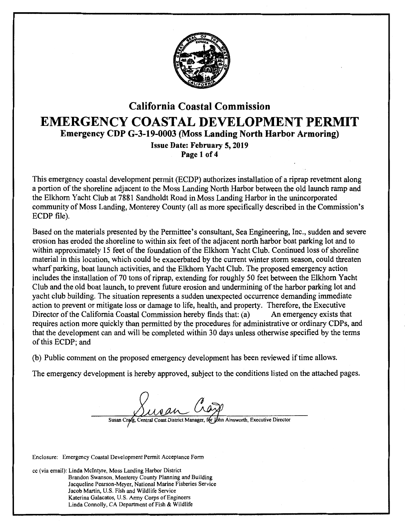

## California Coastal Commission EMERGENCY COASTAL DEVELOPMENT PERMIT Emergency CDP G-3-19-0003 (Moss Landing North Harbor Armoring) Issue Date: February 5, 2019 Page 1 of 4

This emergency coastal development permit (ECDP) authorizes installation of a riprap revetment along a portion of the shoreline adjacent to the Moss Landing North Harbor between the old launch ramp and the Elkhorn Yacht Club at 7881 Sandholdt Road in Moss Landing Harbor in the unincorporated community of Moss Landing, Monterey County (all as more specifically described in the Commission's ECDP file).

Based on the materials presented by the Permittee's consultant, Sea Engineering, Inc., sudden and severe erosion has eroded the shoreline to within six feet of the adjacent north harbor boat parking lot and to within approximately 15 feet of the foundation of the Elkhorn Yacht Club. Continued loss of shoreline material in this location, which could be exacerbated by the current winter storm season, could threaten wharf parking, boat launch activities, and the Elkhorn Yacht Club. The proposed emergency action includes the installation of 70 tons of riprap, extending for roughly 50 feet between the Elkhorn Yacht Club and the old boat launch, to prevent future erosion and undermining of the harbor parking lot and yacht club building. The situation represents a sudden unexpected occurrence demanding immediate action to prevent or mitigate loss or damage to life, health, and property. Therefore, the Executive Director of the California Coastal Commission hereby finds that: (a) An emergency exists that requires action more quickly than permitted by the procedures for administrative or ordinary CDPs, and that the development can and will be completed within 30 days unless otherwise specified by the terms of this ECDP; and

(b) Public comment on the proposed emergency development has been reviewed if time allows.

The emergency development is hereby approved, subject to the conditions listed on the attached pages.

District Manager, for John Ainsworth, Executive Director Susan Craze, Central Coast

Enclosure: Emergency Coastal Development Permit Acceptance Form

cc (via email): Linda Mcintyre, Moss Landing Harbor District Brandon Swanson, Monterey County Planning and Building Jacqueline Pearson-Meyer, National Marine Fisheries Service Jacob Martin, U.S. Fish and Wildlife Service Katerina Galacatos, U.S. Army Corps of Engineers Linda Connolly, CA Department of Fish & Wildlife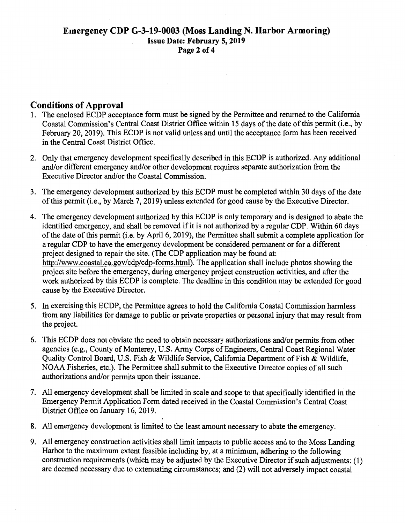### **Conditions of Approval**

- 1. The enclosed ECDP acceptance form must be signed by the Permittee and returned to the California Coastal Commission's Central Coast District Office within 15 days of the date of this permit (i.e., by February 20, 2019). This ECDP is not valid unless and until the acceptance form has been received in the Central Coast District Office.
- 2. Only that emergency development specifically described in this ECDP is authorized. Any additional and/or different emergency and/or other development requires separate authorization from the Executive Director and/or the Coastal Commission.
- 3. The emergency development authorized by this ECDP must be completed within 30 days of the date of this permit (i.e., by March 7, 2019) unless extended for good cause by the Executive Director.
- 4. The emergency development authorized by this ECDP is only temporary and is designed to abate the identified emergency, and shall be removed if it is not authorized by a regular CDP. Within 60 days of the date of this permit (i.e. by April 6, 20 19), the Permittee shall submit a complete application for a regular CDP to have the emergency development be considered permanent or for a different project designed to repair the site. (The CDP application may be found at: http://www.coastal.ca.gov/cdp/cdp-forms.html). The application shall include photos showing the project site before the emergency, during emergency project construction activities, and after the work authorized by this ECDP is complete. The deadline in this condition may be extended for good cause by the Executive Director.
- 5. In exercising this ECDP, the Permittee agrees to hold the California Coastal Commission harmless from any liabilities for damage to public or private properties or personal injury that may result from the project.
- 6. This ECDP does not obviate the need to obtain necessary authorizations and/or permits from other agencies (e.g., County of Monterey, U.S. Army Corps of Engineers, Central Coast Regional Water Quality Control Board, U.S. Fish & Wildlife Service, California Department of Fish & Wildlife, NOAA Fisheries, etc.). The Permittee shall submit to the Executive Director copies of all such authorizations and/or permits upon their issuance.
- 7. All emergency development shall be limited in scale and scope to that specifically identified in the Emergency Permit Application Form dated received in the Coastal Commission's Central Coast District Office on January 16, 2019.
- 8. All emergency development is limited to the least amount necessary to abate the emergency.
- 9. All emergency construction activities shall limit impacts to public access and to the Moss Landing Harbor to the maximum extent feasible including by, at a minimum, adhering to the following construction requirements (which may be adjusted by the Executive Director if such adjustments: (1) are deemed necessary due to extenuating circumstances; and (2) will not adversely impact coastal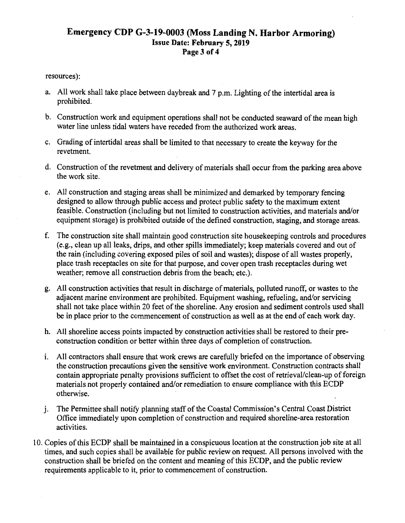### **Emergency CDP G-3-19-0003 (Moss Landing N. Harbor Armoring)**  Issue **Date: February 5, 2019**  Page 3 of 4

### resources):

- a. All work shall take.place between daybreak and 7 p.m. Lighting of the intertidal area is prohibited.
- b. Construction work and equipment operations shall not be conducted seaward of the mean high water line unless tidal waters have receded from the authorized work areas.
- c. Grading of intertidal areas shall be limited to that necessary to create the keyway for the revetment.
- d. Construction of the revetment and delivery of materials shall occur from the parking area above the work site.
- e. All construction and staging areas shall be minimized and demarked by temporary fencing designed to allow through public access and protect public safety to the maximum extent feasible. Construction (including but not limited to construction activities, and materials and/or equipment storage) is prohibited outside of the defined construction, staging, and storage areas.
- f. The construction site shall maintain good construction site housekeeping controls and procedures (e.g., clean up all leaks, drips, and other spills immediately; keep materials covered and out of the rain (including covering exposed piles of soil and wastes); dispose of all wastes properly, place trash receptacles on site for that purpose, and cover open trash receptacles during wet weather; remove all construction debris from the beach; etc.).
- g. All construction activities that result in discharge of materials, polluted runoff, or wastes to the adjacent marine environment are prohibited. Equipment washing, refueling, and/or servicing shall not take place within 20 feet of the shoreline. Any erosion and sediment controls used shall be in place prior to the commencement of construction as well as at the end of each work day.
- h. All shoreline access points impacted by construction activities shall be restored to their preconstruction condition or better within three days of completion of construction.
- 1. All contractors shall ensure that work crews are carefully briefed on the importance of observing the construction precautions given the sensitive work environment. Construction contracts shall contain appropriate penalty provisions sufficient to offset the cost of retrieval/clean-up of foreign materials not properly contained and/or remediation to ensure compliance with this ECDP otherwise.
- j. The Permittee shall notify planning staff of the Coastal Commission's Central Coast District Office immediately upon completion of construction and required shoreline-area restoration activities.
- 10. Copies of this ECDP shall be maintained in a conspicuous location at the construction job site at all times, and such copies shall be available for public review on request. All persons involved with the construction shall be briefed on the content and meaning of this ECDP, and the public review requirements applicable to it, prior to commencement of construction.